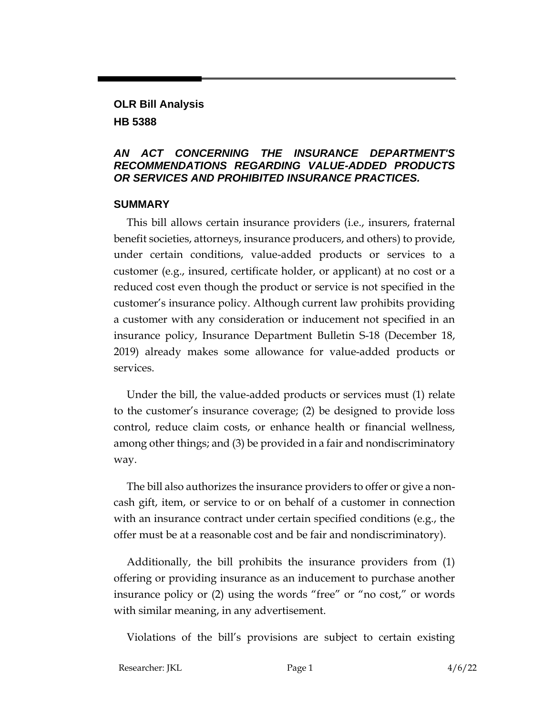### **OLR Bill Analysis HB 5388**

#### *AN ACT CONCERNING THE INSURANCE DEPARTMENT'S RECOMMENDATIONS REGARDING VALUE-ADDED PRODUCTS OR SERVICES AND PROHIBITED INSURANCE PRACTICES.*

#### **SUMMARY**

This bill allows certain insurance providers (i.e., insurers, fraternal benefit societies, attorneys, insurance producers, and others) to provide, under certain conditions, value-added products or services to a customer (e.g., insured, certificate holder, or applicant) at no cost or a reduced cost even though the product or service is not specified in the customer's insurance policy. Although current law prohibits providing a customer with any consideration or inducement not specified in an insurance policy, Insurance Department Bulletin S-18 (December 18, 2019) already makes some allowance for value-added products or services.

Under the bill, the value-added products or services must (1) relate to the customer's insurance coverage; (2) be designed to provide loss control, reduce claim costs, or enhance health or financial wellness, among other things; and (3) be provided in a fair and nondiscriminatory way.

The bill also authorizes the insurance providers to offer or give a noncash gift, item, or service to or on behalf of a customer in connection with an insurance contract under certain specified conditions (e.g., the offer must be at a reasonable cost and be fair and nondiscriminatory).

Additionally, the bill prohibits the insurance providers from (1) offering or providing insurance as an inducement to purchase another insurance policy or (2) using the words "free" or "no cost," or words with similar meaning, in any advertisement.

Violations of the bill's provisions are subject to certain existing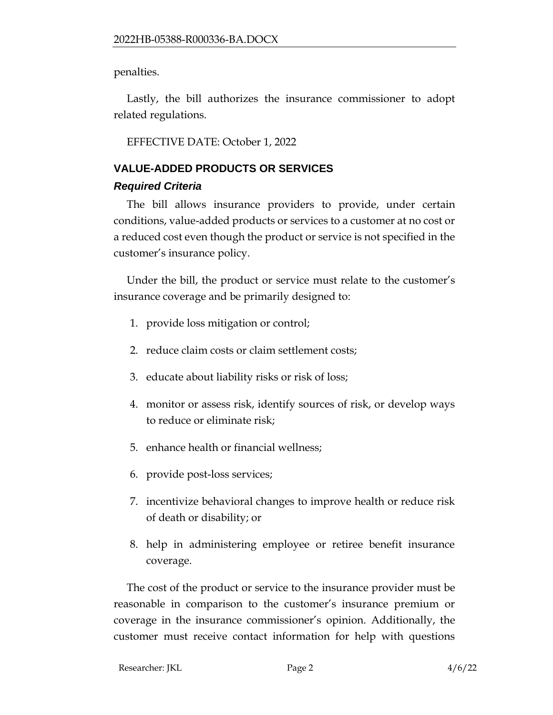penalties.

Lastly, the bill authorizes the insurance commissioner to adopt related regulations.

EFFECTIVE DATE: October 1, 2022

## **VALUE-ADDED PRODUCTS OR SERVICES**

### *Required Criteria*

The bill allows insurance providers to provide, under certain conditions, value-added products or services to a customer at no cost or a reduced cost even though the product or service is not specified in the customer's insurance policy.

Under the bill, the product or service must relate to the customer's insurance coverage and be primarily designed to:

- 1. provide loss mitigation or control;
- 2. reduce claim costs or claim settlement costs;
- 3. educate about liability risks or risk of loss;
- 4. monitor or assess risk, identify sources of risk, or develop ways to reduce or eliminate risk;
- 5. enhance health or financial wellness;
- 6. provide post-loss services;
- 7. incentivize behavioral changes to improve health or reduce risk of death or disability; or
- 8. help in administering employee or retiree benefit insurance coverage.

The cost of the product or service to the insurance provider must be reasonable in comparison to the customer's insurance premium or coverage in the insurance commissioner's opinion. Additionally, the customer must receive contact information for help with questions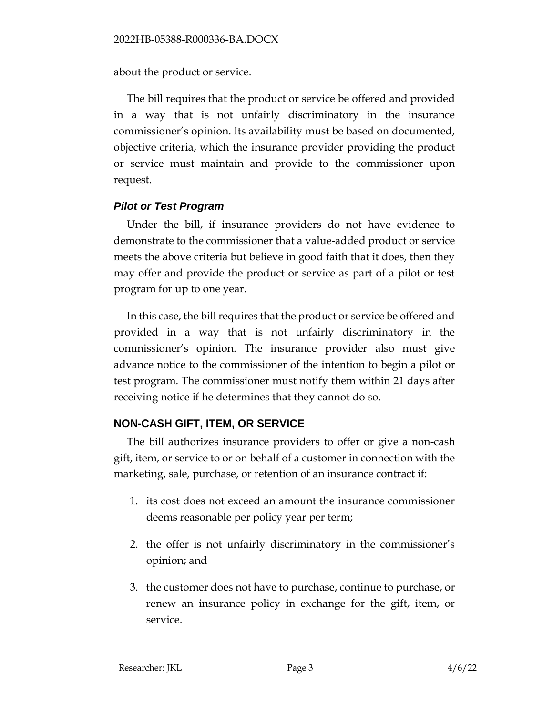about the product or service.

The bill requires that the product or service be offered and provided in a way that is not unfairly discriminatory in the insurance commissioner's opinion. Its availability must be based on documented, objective criteria, which the insurance provider providing the product or service must maintain and provide to the commissioner upon request.

### *Pilot or Test Program*

Under the bill, if insurance providers do not have evidence to demonstrate to the commissioner that a value-added product or service meets the above criteria but believe in good faith that it does, then they may offer and provide the product or service as part of a pilot or test program for up to one year.

In this case, the bill requires that the product or service be offered and provided in a way that is not unfairly discriminatory in the commissioner's opinion. The insurance provider also must give advance notice to the commissioner of the intention to begin a pilot or test program. The commissioner must notify them within 21 days after receiving notice if he determines that they cannot do so.

## **NON-CASH GIFT, ITEM, OR SERVICE**

The bill authorizes insurance providers to offer or give a non-cash gift, item, or service to or on behalf of a customer in connection with the marketing, sale, purchase, or retention of an insurance contract if:

- 1. its cost does not exceed an amount the insurance commissioner deems reasonable per policy year per term;
- 2. the offer is not unfairly discriminatory in the commissioner's opinion; and
- 3. the customer does not have to purchase, continue to purchase, or renew an insurance policy in exchange for the gift, item, or service.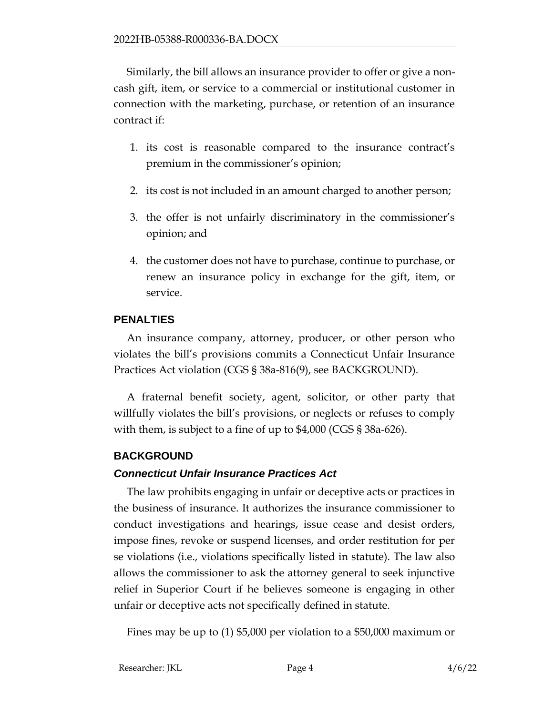Similarly, the bill allows an insurance provider to offer or give a noncash gift, item, or service to a commercial or institutional customer in connection with the marketing, purchase, or retention of an insurance contract if:

- 1. its cost is reasonable compared to the insurance contract's premium in the commissioner's opinion;
- 2. its cost is not included in an amount charged to another person;
- 3. the offer is not unfairly discriminatory in the commissioner's opinion; and
- 4. the customer does not have to purchase, continue to purchase, or renew an insurance policy in exchange for the gift, item, or service.

### **PENALTIES**

An insurance company, attorney, producer, or other person who violates the bill's provisions commits a Connecticut Unfair Insurance Practices Act violation (CGS § 38a-816(9), see BACKGROUND).

A fraternal benefit society, agent, solicitor, or other party that willfully violates the bill's provisions, or neglects or refuses to comply with them, is subject to a fine of up to \$4,000 (CGS § 38a-626).

# **BACKGROUND**

## *Connecticut Unfair Insurance Practices Act*

The law prohibits engaging in unfair or deceptive acts or practices in the business of insurance. It authorizes the insurance commissioner to conduct investigations and hearings, issue cease and desist orders, impose fines, revoke or suspend licenses, and order restitution for per se violations (i.e., violations specifically listed in statute). The law also allows the commissioner to ask the attorney general to seek injunctive relief in Superior Court if he believes someone is engaging in other unfair or deceptive acts not specifically defined in statute.

Fines may be up to (1) \$5,000 per violation to a \$50,000 maximum or